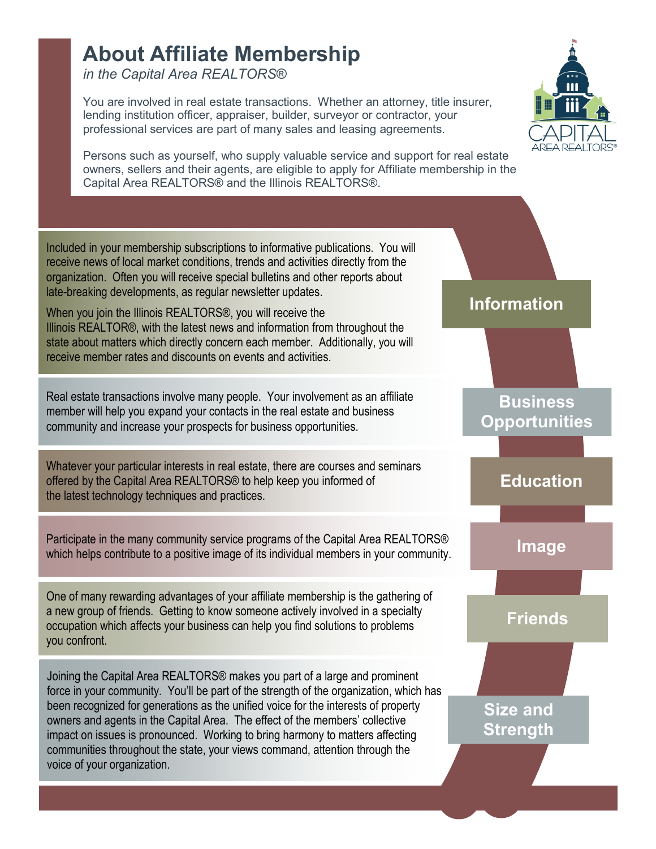## **About Affiliate Membership**

*in the Capital Area REALTORS*®

voice of your organization.

You are involved in real estate transactions. Whether an attorney, title insurer, lending institution officer, appraiser, builder, surveyor or contractor, your professional services are part of many sales and leasing agreements.



Persons such as yourself, who supply valuable service and support for real estate owners, sellers and their agents, are eligible to apply for Affiliate membership in the Capital Area REALTORS® and the Illinois REALTORS®.